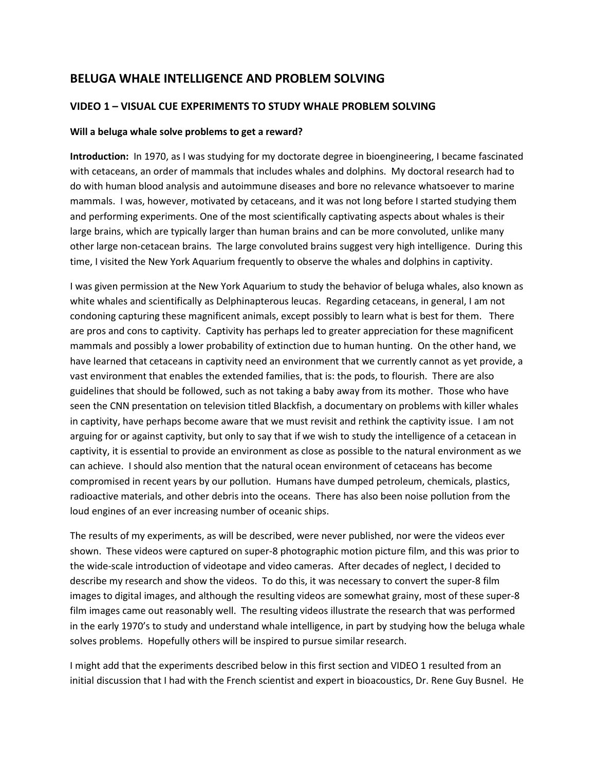# **BELUGA WHALE INTELLIGENCE AND PROBLEM SOLVING**

## **VIDEO 1 – VISUAL CUE EXPERIMENTS TO STUDY WHALE PROBLEM SOLVING**

### **Will a beluga whale solve problems to get a reward?**

**Introduction:** In 1970, as I was studying for my doctorate degree in bioengineering, I became fascinated with cetaceans, an order of mammals that includes whales and dolphins. My doctoral research had to do with human blood analysis and autoimmune diseases and bore no relevance whatsoever to marine mammals. I was, however, motivated by cetaceans, and it was not long before I started studying them and performing experiments. One of the most scientifically captivating aspects about whales is their large brains, which are typically larger than human brains and can be more convoluted, unlike many other large non-cetacean brains. The large convoluted brains suggest very high intelligence. During this time, I visited the New York Aquarium frequently to observe the whales and dolphins in captivity.

I was given permission at the New York Aquarium to study the behavior of beluga whales, also known as white whales and scientifically as Delphinapterous leucas. Regarding cetaceans, in general, I am not condoning capturing these magnificent animals, except possibly to learn what is best for them. There are pros and cons to captivity. Captivity has perhaps led to greater appreciation for these magnificent mammals and possibly a lower probability of extinction due to human hunting. On the other hand, we have learned that cetaceans in captivity need an environment that we currently cannot as yet provide, a vast environment that enables the extended families, that is: the pods, to flourish. There are also guidelines that should be followed, such as not taking a baby away from its mother. Those who have seen the CNN presentation on television titled Blackfish, a documentary on problems with killer whales in captivity, have perhaps become aware that we must revisit and rethink the captivity issue. I am not arguing for or against captivity, but only to say that if we wish to study the intelligence of a cetacean in captivity, it is essential to provide an environment as close as possible to the natural environment as we can achieve. I should also mention that the natural ocean environment of cetaceans has become compromised in recent years by our pollution. Humans have dumped petroleum, chemicals, plastics, radioactive materials, and other debris into the oceans. There has also been noise pollution from the loud engines of an ever increasing number of oceanic ships.

The results of my experiments, as will be described, were never published, nor were the videos ever shown. These videos were captured on super-8 photographic motion picture film, and this was prior to the wide-scale introduction of videotape and video cameras. After decades of neglect, I decided to describe my research and show the videos. To do this, it was necessary to convert the super-8 film images to digital images, and although the resulting videos are somewhat grainy, most of these super-8 film images came out reasonably well. The resulting videos illustrate the research that was performed in the early 1970's to study and understand whale intelligence, in part by studying how the beluga whale solves problems. Hopefully others will be inspired to pursue similar research.

I might add that the experiments described below in this first section and VIDEO 1 resulted from an initial discussion that I had with the French scientist and expert in bioacoustics, Dr. Rene Guy Busnel. He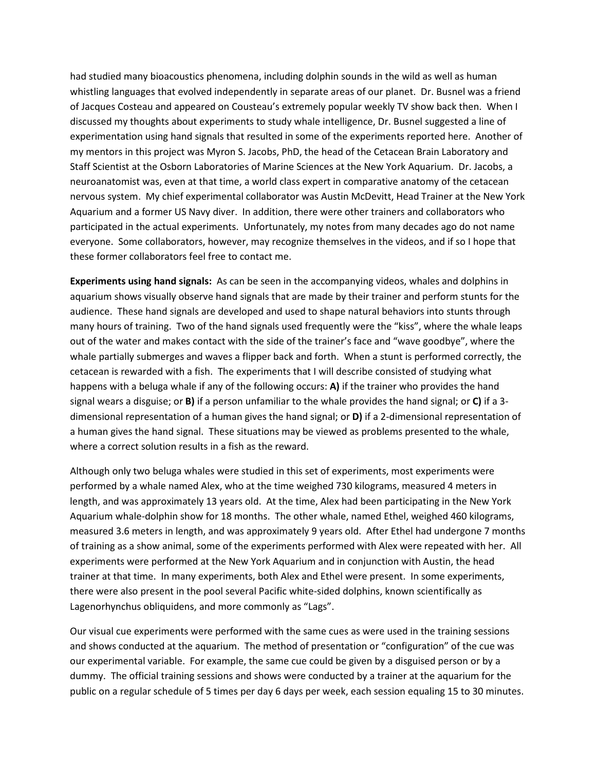had studied many bioacoustics phenomena, including dolphin sounds in the wild as well as human whistling languages that evolved independently in separate areas of our planet. Dr. Busnel was a friend of Jacques Costeau and appeared on Cousteau's extremely popular weekly TV show back then. When I discussed my thoughts about experiments to study whale intelligence, Dr. Busnel suggested a line of experimentation using hand signals that resulted in some of the experiments reported here. Another of my mentors in this project was Myron S. Jacobs, PhD, the head of the Cetacean Brain Laboratory and Staff Scientist at the Osborn Laboratories of Marine Sciences at the New York Aquarium. Dr. Jacobs, a neuroanatomist was, even at that time, a world class expert in comparative anatomy of the cetacean nervous system. My chief experimental collaborator was Austin McDevitt, Head Trainer at the New York Aquarium and a former US Navy diver. In addition, there were other trainers and collaborators who participated in the actual experiments. Unfortunately, my notes from many decades ago do not name everyone. Some collaborators, however, may recognize themselves in the videos, and if so I hope that these former collaborators feel free to contact me.

**Experiments using hand signals:** As can be seen in the accompanying videos, whales and dolphins in aquarium shows visually observe hand signals that are made by their trainer and perform stunts for the audience. These hand signals are developed and used to shape natural behaviors into stunts through many hours of training. Two of the hand signals used frequently were the "kiss", where the whale leaps out of the water and makes contact with the side of the trainer's face and "wave goodbye", where the whale partially submerges and waves a flipper back and forth. When a stunt is performed correctly, the cetacean is rewarded with a fish. The experiments that I will describe consisted of studying what happens with a beluga whale if any of the following occurs: **A)** if the trainer who provides the hand signal wears a disguise; or **B)** if a person unfamiliar to the whale provides the hand signal; or **C)** if a 3 dimensional representation of a human gives the hand signal; or **D)** if a 2-dimensional representation of a human gives the hand signal. These situations may be viewed as problems presented to the whale, where a correct solution results in a fish as the reward.

Although only two beluga whales were studied in this set of experiments, most experiments were performed by a whale named Alex, who at the time weighed 730 kilograms, measured 4 meters in length, and was approximately 13 years old. At the time, Alex had been participating in the New York Aquarium whale-dolphin show for 18 months. The other whale, named Ethel, weighed 460 kilograms, measured 3.6 meters in length, and was approximately 9 years old. After Ethel had undergone 7 months of training as a show animal, some of the experiments performed with Alex were repeated with her. All experiments were performed at the New York Aquarium and in conjunction with Austin, the head trainer at that time. In many experiments, both Alex and Ethel were present. In some experiments, there were also present in the pool several Pacific white-sided dolphins, known scientifically as Lagenorhynchus obliquidens, and more commonly as "Lags".

Our visual cue experiments were performed with the same cues as were used in the training sessions and shows conducted at the aquarium. The method of presentation or "configuration" of the cue was our experimental variable. For example, the same cue could be given by a disguised person or by a dummy. The official training sessions and shows were conducted by a trainer at the aquarium for the public on a regular schedule of 5 times per day 6 days per week, each session equaling 15 to 30 minutes.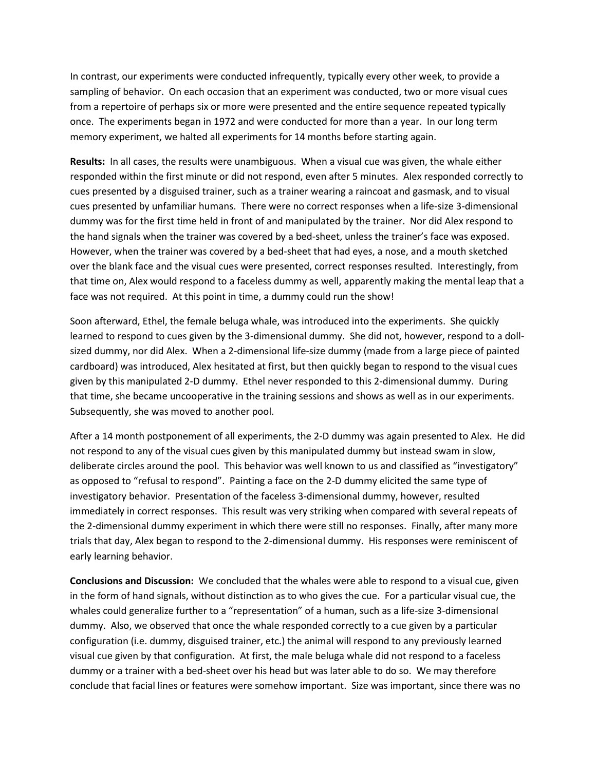In contrast, our experiments were conducted infrequently, typically every other week, to provide a sampling of behavior. On each occasion that an experiment was conducted, two or more visual cues from a repertoire of perhaps six or more were presented and the entire sequence repeated typically once. The experiments began in 1972 and were conducted for more than a year. In our long term memory experiment, we halted all experiments for 14 months before starting again.

**Results:** In all cases, the results were unambiguous. When a visual cue was given, the whale either responded within the first minute or did not respond, even after 5 minutes. Alex responded correctly to cues presented by a disguised trainer, such as a trainer wearing a raincoat and gasmask, and to visual cues presented by unfamiliar humans. There were no correct responses when a life-size 3-dimensional dummy was for the first time held in front of and manipulated by the trainer. Nor did Alex respond to the hand signals when the trainer was covered by a bed-sheet, unless the trainer's face was exposed. However, when the trainer was covered by a bed-sheet that had eyes, a nose, and a mouth sketched over the blank face and the visual cues were presented, correct responses resulted. Interestingly, from that time on, Alex would respond to a faceless dummy as well, apparently making the mental leap that a face was not required. At this point in time, a dummy could run the show!

Soon afterward, Ethel, the female beluga whale, was introduced into the experiments. She quickly learned to respond to cues given by the 3-dimensional dummy. She did not, however, respond to a dollsized dummy, nor did Alex. When a 2-dimensional life-size dummy (made from a large piece of painted cardboard) was introduced, Alex hesitated at first, but then quickly began to respond to the visual cues given by this manipulated 2-D dummy. Ethel never responded to this 2-dimensional dummy. During that time, she became uncooperative in the training sessions and shows as well as in our experiments. Subsequently, she was moved to another pool.

After a 14 month postponement of all experiments, the 2-D dummy was again presented to Alex. He did not respond to any of the visual cues given by this manipulated dummy but instead swam in slow, deliberate circles around the pool. This behavior was well known to us and classified as "investigatory" as opposed to "refusal to respond". Painting a face on the 2-D dummy elicited the same type of investigatory behavior. Presentation of the faceless 3-dimensional dummy, however, resulted immediately in correct responses. This result was very striking when compared with several repeats of the 2-dimensional dummy experiment in which there were still no responses. Finally, after many more trials that day, Alex began to respond to the 2-dimensional dummy. His responses were reminiscent of early learning behavior.

**Conclusions and Discussion:** We concluded that the whales were able to respond to a visual cue, given in the form of hand signals, without distinction as to who gives the cue. For a particular visual cue, the whales could generalize further to a "representation" of a human, such as a life-size 3-dimensional dummy. Also, we observed that once the whale responded correctly to a cue given by a particular configuration (i.e. dummy, disguised trainer, etc.) the animal will respond to any previously learned visual cue given by that configuration. At first, the male beluga whale did not respond to a faceless dummy or a trainer with a bed-sheet over his head but was later able to do so. We may therefore conclude that facial lines or features were somehow important. Size was important, since there was no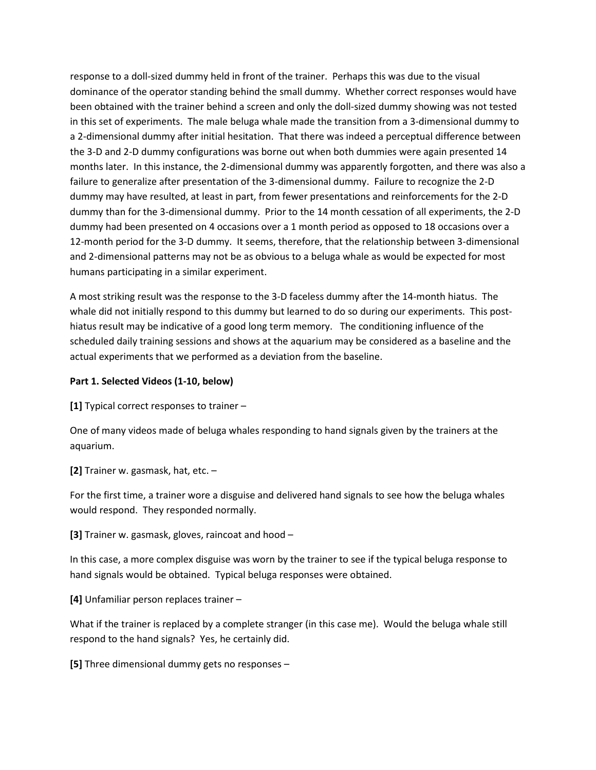response to a doll-sized dummy held in front of the trainer. Perhaps this was due to the visual dominance of the operator standing behind the small dummy. Whether correct responses would have been obtained with the trainer behind a screen and only the doll-sized dummy showing was not tested in this set of experiments. The male beluga whale made the transition from a 3-dimensional dummy to a 2-dimensional dummy after initial hesitation. That there was indeed a perceptual difference between the 3-D and 2-D dummy configurations was borne out when both dummies were again presented 14 months later. In this instance, the 2-dimensional dummy was apparently forgotten, and there was also a failure to generalize after presentation of the 3-dimensional dummy. Failure to recognize the 2-D dummy may have resulted, at least in part, from fewer presentations and reinforcements for the 2-D dummy than for the 3-dimensional dummy. Prior to the 14 month cessation of all experiments, the 2-D dummy had been presented on 4 occasions over a 1 month period as opposed to 18 occasions over a 12-month period for the 3-D dummy. It seems, therefore, that the relationship between 3-dimensional and 2-dimensional patterns may not be as obvious to a beluga whale as would be expected for most humans participating in a similar experiment.

A most striking result was the response to the 3-D faceless dummy after the 14-month hiatus. The whale did not initially respond to this dummy but learned to do so during our experiments. This posthiatus result may be indicative of a good long term memory. The conditioning influence of the scheduled daily training sessions and shows at the aquarium may be considered as a baseline and the actual experiments that we performed as a deviation from the baseline.

### **Part 1. Selected Videos (1-10, below)**

**[1]** Typical correct responses to trainer –

One of many videos made of beluga whales responding to hand signals given by the trainers at the aquarium.

**[2]** Trainer w. gasmask, hat, etc. –

For the first time, a trainer wore a disguise and delivered hand signals to see how the beluga whales would respond. They responded normally.

**[3]** Trainer w. gasmask, gloves, raincoat and hood –

In this case, a more complex disguise was worn by the trainer to see if the typical beluga response to hand signals would be obtained. Typical beluga responses were obtained.

**[4]** Unfamiliar person replaces trainer –

What if the trainer is replaced by a complete stranger (in this case me). Would the beluga whale still respond to the hand signals? Yes, he certainly did.

**[5]** Three dimensional dummy gets no responses –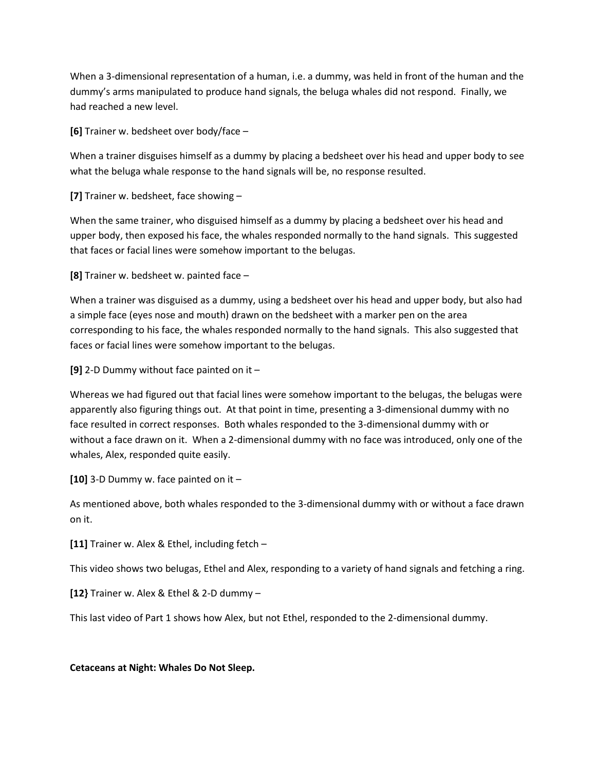When a 3-dimensional representation of a human, i.e. a dummy, was held in front of the human and the dummy's arms manipulated to produce hand signals, the beluga whales did not respond. Finally, we had reached a new level.

**[6]** Trainer w. bedsheet over body/face –

When a trainer disguises himself as a dummy by placing a bedsheet over his head and upper body to see what the beluga whale response to the hand signals will be, no response resulted.

**[7]** Trainer w. bedsheet, face showing –

When the same trainer, who disguised himself as a dummy by placing a bedsheet over his head and upper body, then exposed his face, the whales responded normally to the hand signals. This suggested that faces or facial lines were somehow important to the belugas.

**[8]** Trainer w. bedsheet w. painted face –

When a trainer was disguised as a dummy, using a bedsheet over his head and upper body, but also had a simple face (eyes nose and mouth) drawn on the bedsheet with a marker pen on the area corresponding to his face, the whales responded normally to the hand signals. This also suggested that faces or facial lines were somehow important to the belugas.

**[9]** 2-D Dummy without face painted on it –

Whereas we had figured out that facial lines were somehow important to the belugas, the belugas were apparently also figuring things out. At that point in time, presenting a 3-dimensional dummy with no face resulted in correct responses. Both whales responded to the 3-dimensional dummy with or without a face drawn on it. When a 2-dimensional dummy with no face was introduced, only one of the whales, Alex, responded quite easily.

**[10]** 3-D Dummy w. face painted on it –

As mentioned above, both whales responded to the 3-dimensional dummy with or without a face drawn on it.

**[11]** Trainer w. Alex & Ethel, including fetch –

This video shows two belugas, Ethel and Alex, responding to a variety of hand signals and fetching a ring.

**[12}** Trainer w. Alex & Ethel & 2-D dummy –

This last video of Part 1 shows how Alex, but not Ethel, responded to the 2-dimensional dummy.

**Cetaceans at Night: Whales Do Not Sleep.**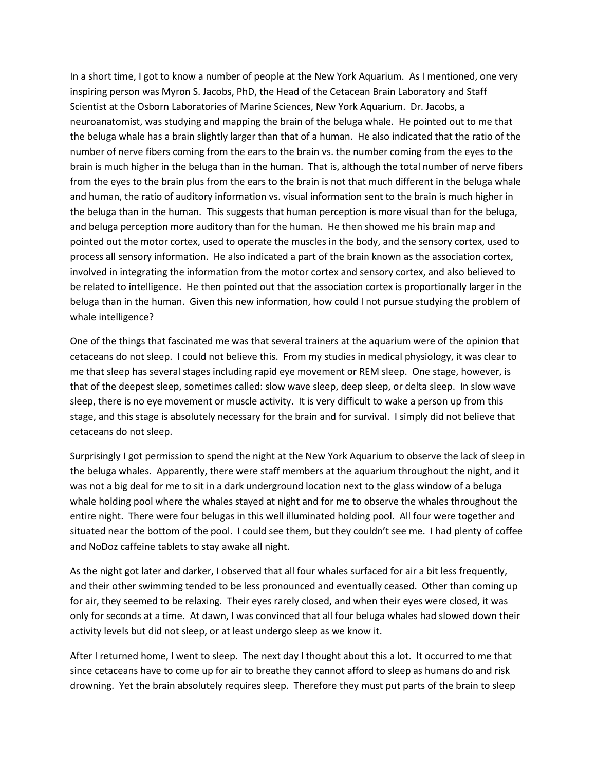In a short time, I got to know a number of people at the New York Aquarium. As I mentioned, one very inspiring person was Myron S. Jacobs, PhD, the Head of the Cetacean Brain Laboratory and Staff Scientist at the Osborn Laboratories of Marine Sciences, New York Aquarium. Dr. Jacobs, a neuroanatomist, was studying and mapping the brain of the beluga whale. He pointed out to me that the beluga whale has a brain slightly larger than that of a human. He also indicated that the ratio of the number of nerve fibers coming from the ears to the brain vs. the number coming from the eyes to the brain is much higher in the beluga than in the human. That is, although the total number of nerve fibers from the eyes to the brain plus from the ears to the brain is not that much different in the beluga whale and human, the ratio of auditory information vs. visual information sent to the brain is much higher in the beluga than in the human. This suggests that human perception is more visual than for the beluga, and beluga perception more auditory than for the human. He then showed me his brain map and pointed out the motor cortex, used to operate the muscles in the body, and the sensory cortex, used to process all sensory information. He also indicated a part of the brain known as the association cortex, involved in integrating the information from the motor cortex and sensory cortex, and also believed to be related to intelligence. He then pointed out that the association cortex is proportionally larger in the beluga than in the human. Given this new information, how could I not pursue studying the problem of whale intelligence?

One of the things that fascinated me was that several trainers at the aquarium were of the opinion that cetaceans do not sleep. I could not believe this. From my studies in medical physiology, it was clear to me that sleep has several stages including rapid eye movement or REM sleep. One stage, however, is that of the deepest sleep, sometimes called: slow wave sleep, deep sleep, or delta sleep. In slow wave sleep, there is no eye movement or muscle activity. It is very difficult to wake a person up from this stage, and this stage is absolutely necessary for the brain and for survival. I simply did not believe that cetaceans do not sleep.

Surprisingly I got permission to spend the night at the New York Aquarium to observe the lack of sleep in the beluga whales. Apparently, there were staff members at the aquarium throughout the night, and it was not a big deal for me to sit in a dark underground location next to the glass window of a beluga whale holding pool where the whales stayed at night and for me to observe the whales throughout the entire night. There were four belugas in this well illuminated holding pool. All four were together and situated near the bottom of the pool. I could see them, but they couldn't see me. I had plenty of coffee and NoDoz caffeine tablets to stay awake all night.

As the night got later and darker, I observed that all four whales surfaced for air a bit less frequently, and their other swimming tended to be less pronounced and eventually ceased. Other than coming up for air, they seemed to be relaxing. Their eyes rarely closed, and when their eyes were closed, it was only for seconds at a time. At dawn, I was convinced that all four beluga whales had slowed down their activity levels but did not sleep, or at least undergo sleep as we know it.

After I returned home, I went to sleep. The next day I thought about this a lot. It occurred to me that since cetaceans have to come up for air to breathe they cannot afford to sleep as humans do and risk drowning. Yet the brain absolutely requires sleep. Therefore they must put parts of the brain to sleep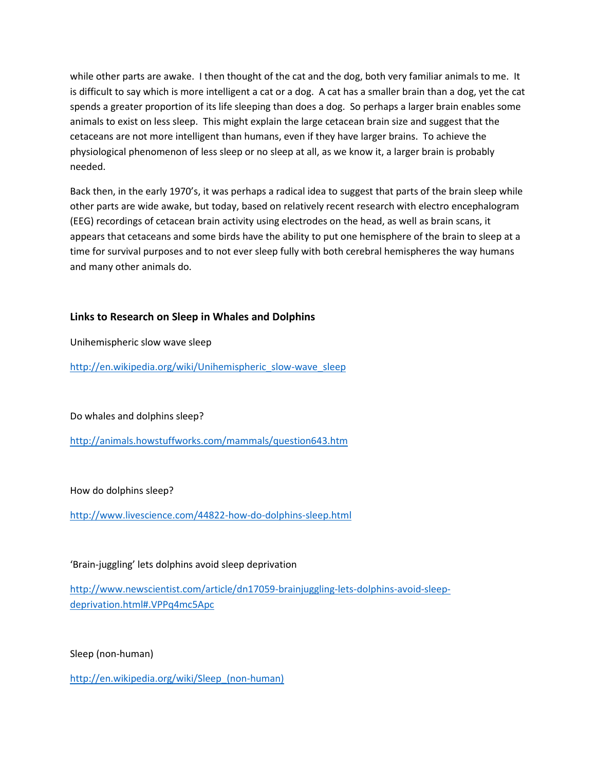while other parts are awake. I then thought of the cat and the dog, both very familiar animals to me. It is difficult to say which is more intelligent a cat or a dog. A cat has a smaller brain than a dog, yet the cat spends a greater proportion of its life sleeping than does a dog. So perhaps a larger brain enables some animals to exist on less sleep. This might explain the large cetacean brain size and suggest that the cetaceans are not more intelligent than humans, even if they have larger brains. To achieve the physiological phenomenon of less sleep or no sleep at all, as we know it, a larger brain is probably needed.

Back then, in the early 1970's, it was perhaps a radical idea to suggest that parts of the brain sleep while other parts are wide awake, but today, based on relatively recent research with electro encephalogram (EEG) recordings of cetacean brain activity using electrodes on the head, as well as brain scans, it appears that cetaceans and some birds have the ability to put one hemisphere of the brain to sleep at a time for survival purposes and to not ever sleep fully with both cerebral hemispheres the way humans and many other animals do.

### **Links to Research on Sleep in Whales and Dolphins**

Unihemispheric slow wave sleep

[http://en.wikipedia.org/wiki/Unihemispheric\\_slow-wave\\_sleep](http://en.wikipedia.org/wiki/Unihemispheric_slow-wave_sleep)

### Do whales and dolphins sleep?

<http://animals.howstuffworks.com/mammals/question643.htm>

How do dolphins sleep?

<http://www.livescience.com/44822-how-do-dolphins-sleep.html>

'Brain-juggling' lets dolphins avoid sleep deprivation

[http://www.newscientist.com/article/dn17059-brainjuggling-lets-dolphins-avoid-sleep](http://www.newscientist.com/article/dn17059-brainjuggling-lets-dolphins-avoid-sleep-deprivation.html#.VPPq4mc5Apc)[deprivation.html#.VPPq4mc5Apc](http://www.newscientist.com/article/dn17059-brainjuggling-lets-dolphins-avoid-sleep-deprivation.html#.VPPq4mc5Apc)

Sleep (non-human)

http://en.wikipedia.org/wiki/Sleep (non-human)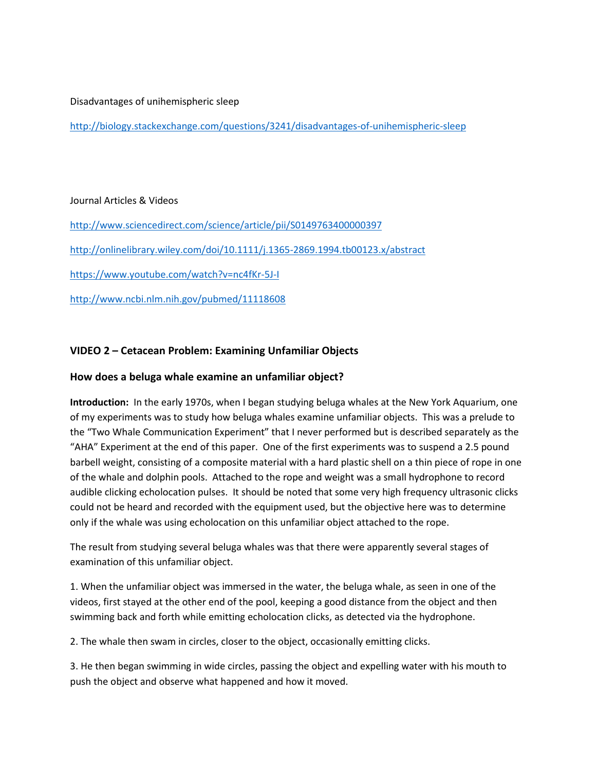### Disadvantages of unihemispheric sleep

<http://biology.stackexchange.com/questions/3241/disadvantages-of-unihemispheric-sleep>

### Journal Articles & Videos

<http://www.sciencedirect.com/science/article/pii/S0149763400000397>

<http://onlinelibrary.wiley.com/doi/10.1111/j.1365-2869.1994.tb00123.x/abstract>

<https://www.youtube.com/watch?v=nc4fKr-5J-I>

<http://www.ncbi.nlm.nih.gov/pubmed/11118608>

## **VIDEO 2 – Cetacean Problem: Examining Unfamiliar Objects**

### **How does a beluga whale examine an unfamiliar object?**

**Introduction:** In the early 1970s, when I began studying beluga whales at the New York Aquarium, one of my experiments was to study how beluga whales examine unfamiliar objects. This was a prelude to the "Two Whale Communication Experiment" that I never performed but is described separately as the "AHA" Experiment at the end of this paper. One of the first experiments was to suspend a 2.5 pound barbell weight, consisting of a composite material with a hard plastic shell on a thin piece of rope in one of the whale and dolphin pools. Attached to the rope and weight was a small hydrophone to record audible clicking echolocation pulses. It should be noted that some very high frequency ultrasonic clicks could not be heard and recorded with the equipment used, but the objective here was to determine only if the whale was using echolocation on this unfamiliar object attached to the rope.

The result from studying several beluga whales was that there were apparently several stages of examination of this unfamiliar object.

1. When the unfamiliar object was immersed in the water, the beluga whale, as seen in one of the videos, first stayed at the other end of the pool, keeping a good distance from the object and then swimming back and forth while emitting echolocation clicks, as detected via the hydrophone.

2. The whale then swam in circles, closer to the object, occasionally emitting clicks.

3. He then began swimming in wide circles, passing the object and expelling water with his mouth to push the object and observe what happened and how it moved.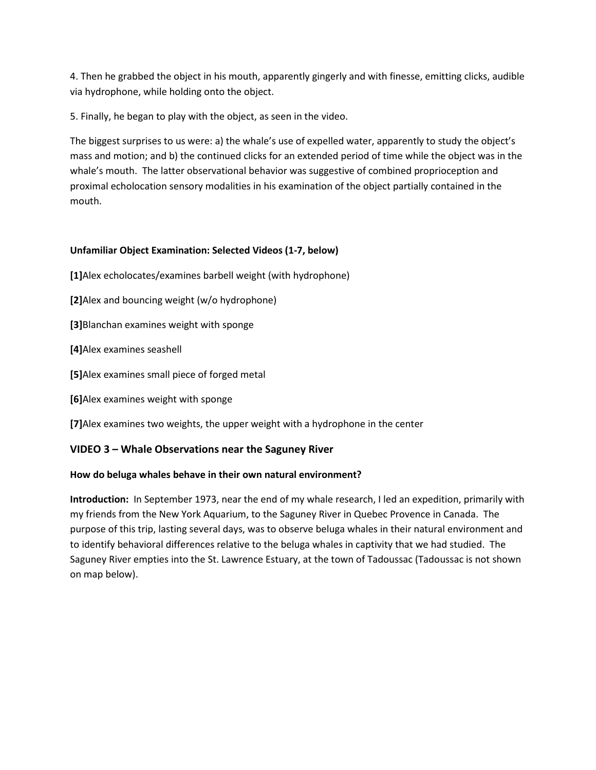4. Then he grabbed the object in his mouth, apparently gingerly and with finesse, emitting clicks, audible via hydrophone, while holding onto the object.

5. Finally, he began to play with the object, as seen in the video.

The biggest surprises to us were: a) the whale's use of expelled water, apparently to study the object's mass and motion; and b) the continued clicks for an extended period of time while the object was in the whale's mouth. The latter observational behavior was suggestive of combined proprioception and proximal echolocation sensory modalities in his examination of the object partially contained in the mouth.

### **Unfamiliar Object Examination: Selected Videos (1-7, below)**

- **[1]**Alex echolocates/examines barbell weight (with hydrophone)
- **[2]**Alex and bouncing weight (w/o hydrophone)
- **[3]**Blanchan examines weight with sponge
- **[4]**Alex examines seashell
- **[5]**Alex examines small piece of forged metal
- **[6]**Alex examines weight with sponge
- **[7]**Alex examines two weights, the upper weight with a hydrophone in the center

# **VIDEO 3 – Whale Observations near the Saguney River**

# **How do beluga whales behave in their own natural environment?**

**Introduction:** In September 1973, near the end of my whale research, I led an expedition, primarily with my friends from the New York Aquarium, to the Saguney River in Quebec Provence in Canada. The purpose of this trip, lasting several days, was to observe beluga whales in their natural environment and to identify behavioral differences relative to the beluga whales in captivity that we had studied. The Saguney River empties into the St. Lawrence Estuary, at the town of Tadoussac (Tadoussac is not shown on map below).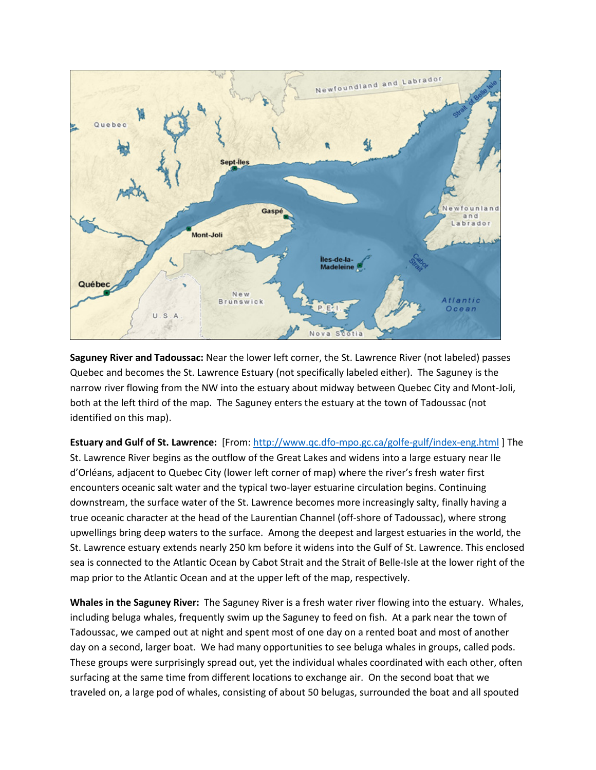

**Saguney River and Tadoussac:** Near the lower left corner, the St. Lawrence River (not labeled) passes Quebec and becomes the St. Lawrence Estuary (not specifically labeled either). The Saguney is the narrow river flowing from the NW into the estuary about midway between Quebec City and Mont-Joli, both at the left third of the map. The Saguney enters the estuary at the town of Tadoussac (not identified on this map).

**Estuary and Gulf of St. Lawrence:** [From:<http://www.qc.dfo-mpo.gc.ca/golfe-gulf/index-eng.html> ] The St. Lawrence River begins as the outflow of the Great Lakes and widens into a large estuary near Ile d'Orléans, adjacent to Quebec City (lower left corner of map) where the river's fresh water first encounters oceanic salt water and the typical two-layer estuarine circulation begins. Continuing downstream, the surface water of the St. Lawrence becomes more increasingly salty, finally having a true oceanic character at the head of the Laurentian Channel (off-shore of Tadoussac), where strong upwellings bring deep waters to the surface. Among the deepest and largest estuaries in the world, the St. Lawrence estuary extends nearly 250 km before it widens into the Gulf of St. Lawrence. This enclosed sea is connected to the Atlantic Ocean by Cabot Strait and the Strait of Belle-Isle at the lower right of the map prior to the Atlantic Ocean and at the upper left of the map, respectively.

**Whales in the Saguney River:** The Saguney River is a fresh water river flowing into the estuary. Whales, including beluga whales, frequently swim up the Saguney to feed on fish. At a park near the town of Tadoussac, we camped out at night and spent most of one day on a rented boat and most of another day on a second, larger boat. We had many opportunities to see beluga whales in groups, called pods. These groups were surprisingly spread out, yet the individual whales coordinated with each other, often surfacing at the same time from different locations to exchange air. On the second boat that we traveled on, a large pod of whales, consisting of about 50 belugas, surrounded the boat and all spouted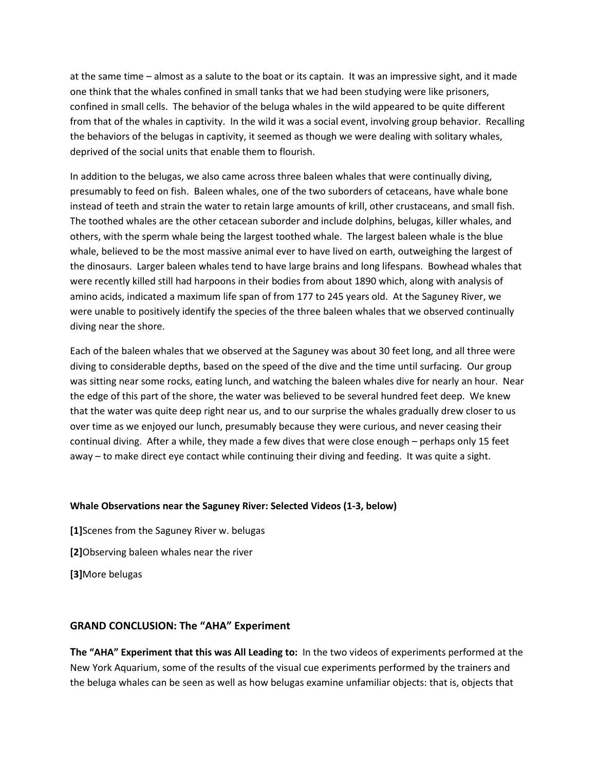at the same time – almost as a salute to the boat or its captain. It was an impressive sight, and it made one think that the whales confined in small tanks that we had been studying were like prisoners, confined in small cells. The behavior of the beluga whales in the wild appeared to be quite different from that of the whales in captivity. In the wild it was a social event, involving group behavior. Recalling the behaviors of the belugas in captivity, it seemed as though we were dealing with solitary whales, deprived of the social units that enable them to flourish.

In addition to the belugas, we also came across three baleen whales that were continually diving, presumably to feed on fish. Baleen whales, one of the two suborders of cetaceans, have whale bone instead of teeth and strain the water to retain large amounts of krill, other crustaceans, and small fish. The toothed whales are the other cetacean suborder and include dolphins, belugas, killer whales, and others, with the sperm whale being the largest toothed whale. The largest baleen whale is the blue whale, believed to be the most massive animal ever to have lived on earth, outweighing the largest of the dinosaurs. Larger baleen whales tend to have large brains and long lifespans. Bowhead whales that were recently killed still had harpoons in their bodies from about 1890 which, along with analysis of amino acids, indicated a maximum life span of from 177 to 245 years old. At the Saguney River, we were unable to positively identify the species of the three baleen whales that we observed continually diving near the shore.

Each of the baleen whales that we observed at the Saguney was about 30 feet long, and all three were diving to considerable depths, based on the speed of the dive and the time until surfacing. Our group was sitting near some rocks, eating lunch, and watching the baleen whales dive for nearly an hour. Near the edge of this part of the shore, the water was believed to be several hundred feet deep. We knew that the water was quite deep right near us, and to our surprise the whales gradually drew closer to us over time as we enjoyed our lunch, presumably because they were curious, and never ceasing their continual diving. After a while, they made a few dives that were close enough – perhaps only 15 feet away – to make direct eye contact while continuing their diving and feeding. It was quite a sight.

### **Whale Observations near the Saguney River: Selected Videos (1-3, below)**

**[1]**Scenes from the Saguney River w. belugas **[2]**Observing baleen whales near the river **[3]**More belugas

### **GRAND CONCLUSION: The "AHA" Experiment**

**The "AHA" Experiment that this was All Leading to:** In the two videos of experiments performed at the New York Aquarium, some of the results of the visual cue experiments performed by the trainers and the beluga whales can be seen as well as how belugas examine unfamiliar objects: that is, objects that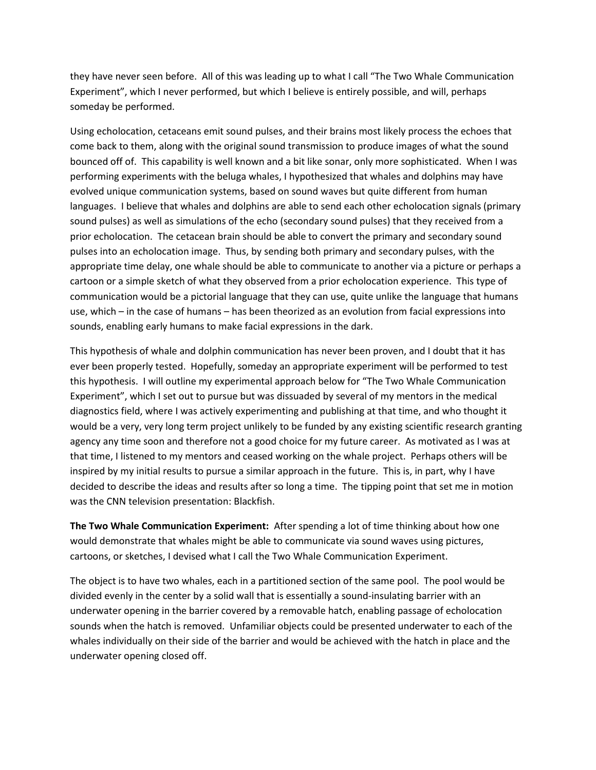they have never seen before. All of this was leading up to what I call "The Two Whale Communication Experiment", which I never performed, but which I believe is entirely possible, and will, perhaps someday be performed.

Using echolocation, cetaceans emit sound pulses, and their brains most likely process the echoes that come back to them, along with the original sound transmission to produce images of what the sound bounced off of. This capability is well known and a bit like sonar, only more sophisticated. When I was performing experiments with the beluga whales, I hypothesized that whales and dolphins may have evolved unique communication systems, based on sound waves but quite different from human languages. I believe that whales and dolphins are able to send each other echolocation signals (primary sound pulses) as well as simulations of the echo (secondary sound pulses) that they received from a prior echolocation. The cetacean brain should be able to convert the primary and secondary sound pulses into an echolocation image. Thus, by sending both primary and secondary pulses, with the appropriate time delay, one whale should be able to communicate to another via a picture or perhaps a cartoon or a simple sketch of what they observed from a prior echolocation experience. This type of communication would be a pictorial language that they can use, quite unlike the language that humans use, which – in the case of humans – has been theorized as an evolution from facial expressions into sounds, enabling early humans to make facial expressions in the dark.

This hypothesis of whale and dolphin communication has never been proven, and I doubt that it has ever been properly tested. Hopefully, someday an appropriate experiment will be performed to test this hypothesis. I will outline my experimental approach below for "The Two Whale Communication Experiment", which I set out to pursue but was dissuaded by several of my mentors in the medical diagnostics field, where I was actively experimenting and publishing at that time, and who thought it would be a very, very long term project unlikely to be funded by any existing scientific research granting agency any time soon and therefore not a good choice for my future career. As motivated as I was at that time, I listened to my mentors and ceased working on the whale project. Perhaps others will be inspired by my initial results to pursue a similar approach in the future. This is, in part, why I have decided to describe the ideas and results after so long a time. The tipping point that set me in motion was the CNN television presentation: Blackfish.

**The Two Whale Communication Experiment:** After spending a lot of time thinking about how one would demonstrate that whales might be able to communicate via sound waves using pictures, cartoons, or sketches, I devised what I call the Two Whale Communication Experiment.

The object is to have two whales, each in a partitioned section of the same pool. The pool would be divided evenly in the center by a solid wall that is essentially a sound-insulating barrier with an underwater opening in the barrier covered by a removable hatch, enabling passage of echolocation sounds when the hatch is removed. Unfamiliar objects could be presented underwater to each of the whales individually on their side of the barrier and would be achieved with the hatch in place and the underwater opening closed off.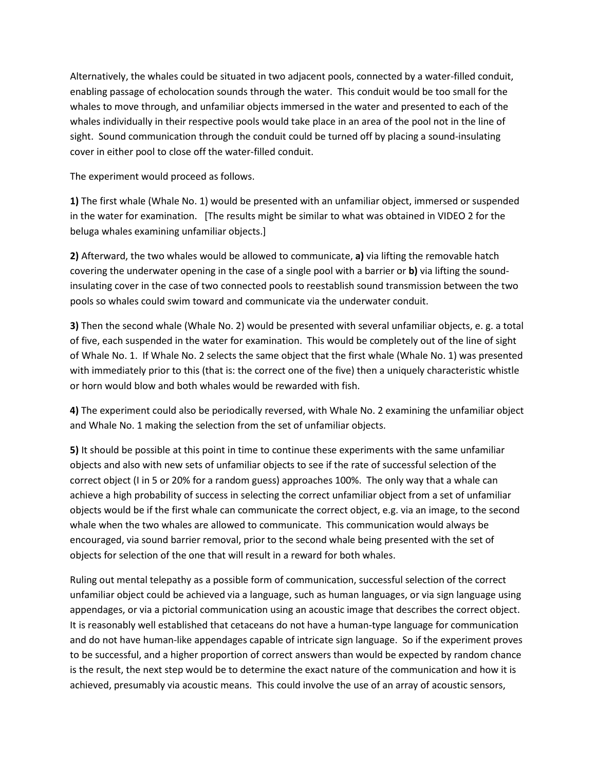Alternatively, the whales could be situated in two adjacent pools, connected by a water-filled conduit, enabling passage of echolocation sounds through the water. This conduit would be too small for the whales to move through, and unfamiliar objects immersed in the water and presented to each of the whales individually in their respective pools would take place in an area of the pool not in the line of sight. Sound communication through the conduit could be turned off by placing a sound-insulating cover in either pool to close off the water-filled conduit.

The experiment would proceed as follows.

**1)** The first whale (Whale No. 1) would be presented with an unfamiliar object, immersed or suspended in the water for examination. [The results might be similar to what was obtained in VIDEO 2 for the beluga whales examining unfamiliar objects.]

**2)** Afterward, the two whales would be allowed to communicate, **a)** via lifting the removable hatch covering the underwater opening in the case of a single pool with a barrier or **b)** via lifting the soundinsulating cover in the case of two connected pools to reestablish sound transmission between the two pools so whales could swim toward and communicate via the underwater conduit.

**3)** Then the second whale (Whale No. 2) would be presented with several unfamiliar objects, e. g. a total of five, each suspended in the water for examination. This would be completely out of the line of sight of Whale No. 1. If Whale No. 2 selects the same object that the first whale (Whale No. 1) was presented with immediately prior to this (that is: the correct one of the five) then a uniquely characteristic whistle or horn would blow and both whales would be rewarded with fish.

**4)** The experiment could also be periodically reversed, with Whale No. 2 examining the unfamiliar object and Whale No. 1 making the selection from the set of unfamiliar objects.

**5)** It should be possible at this point in time to continue these experiments with the same unfamiliar objects and also with new sets of unfamiliar objects to see if the rate of successful selection of the correct object (I in 5 or 20% for a random guess) approaches 100%. The only way that a whale can achieve a high probability of success in selecting the correct unfamiliar object from a set of unfamiliar objects would be if the first whale can communicate the correct object, e.g. via an image, to the second whale when the two whales are allowed to communicate. This communication would always be encouraged, via sound barrier removal, prior to the second whale being presented with the set of objects for selection of the one that will result in a reward for both whales.

Ruling out mental telepathy as a possible form of communication, successful selection of the correct unfamiliar object could be achieved via a language, such as human languages, or via sign language using appendages, or via a pictorial communication using an acoustic image that describes the correct object. It is reasonably well established that cetaceans do not have a human-type language for communication and do not have human-like appendages capable of intricate sign language. So if the experiment proves to be successful, and a higher proportion of correct answers than would be expected by random chance is the result, the next step would be to determine the exact nature of the communication and how it is achieved, presumably via acoustic means. This could involve the use of an array of acoustic sensors,